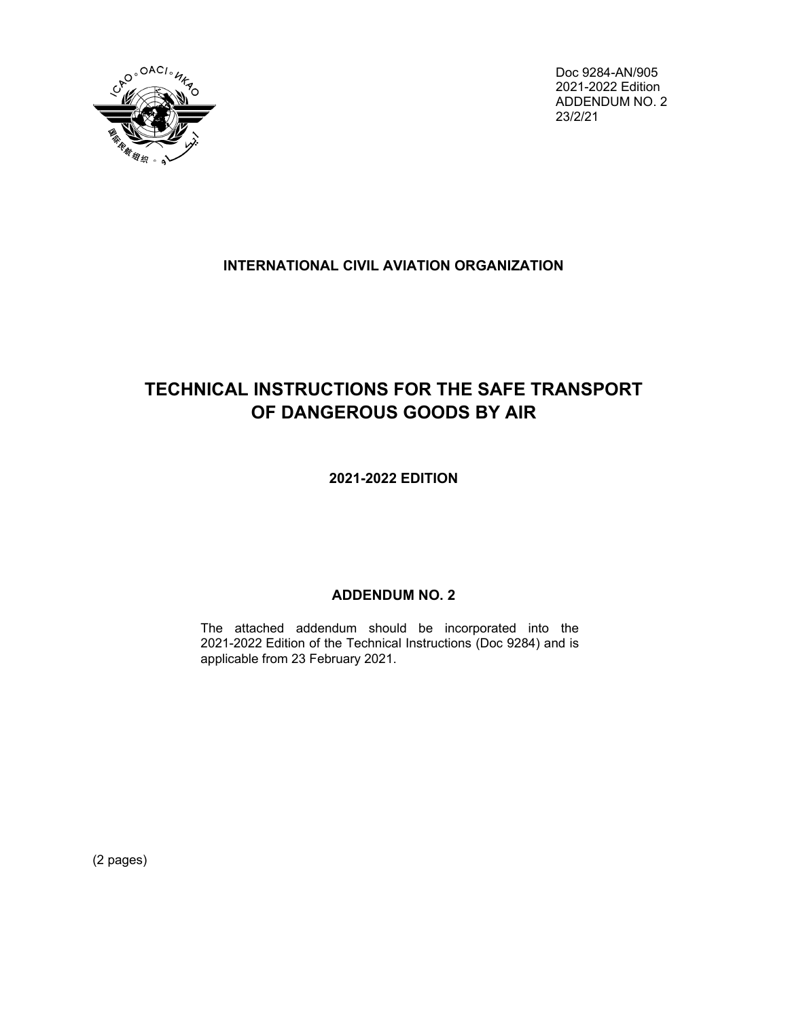

Doc 9284-AN/905 2021-2022 Edition ADDENDUM NO. 2 23/2/21

## **INTERNATIONAL CIVIL AVIATION ORGANIZATION**

## **TECHNICAL INSTRUCTIONS FOR THE SAFE TRANSPORT OF DANGEROUS GOODS BY AIR**

**2021-2022 EDITION**

## **ADDENDUM NO. 2**

The attached addendum should be incorporated into the 2021-2022 Edition of the Technical Instructions (Doc 9284) and is applicable from 23 February 2021.

(2 pages)